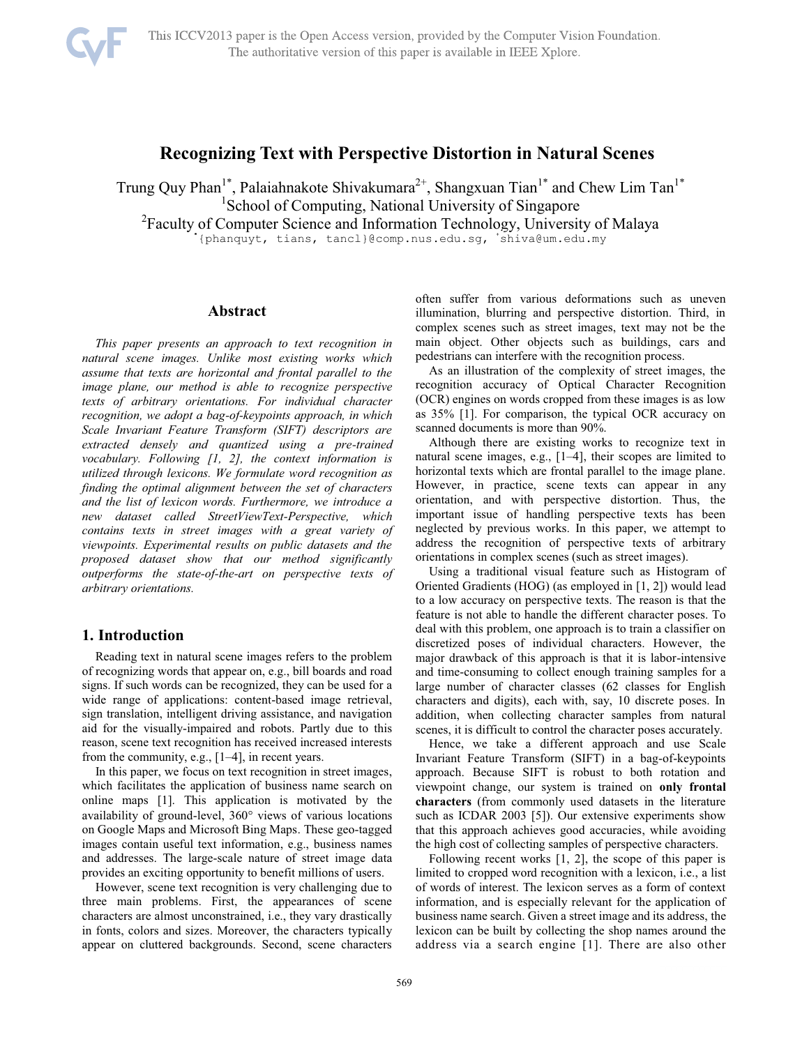

# **Recognizing Text with Perspective Distortion in Natural Scenes**

Trung Quy Phan<sup>1\*</sup>, Palaiahnakote Shivakumara<sup>2+</sup>, Shangxuan Tian<sup>1\*</sup> and Chew Lim Tan<sup>1\*</sup> <sup>1</sup>School of Computing, National University of Singapore

<sup>2</sup> Faculty of Computer Science and Information Technology, University of Malaya

{phanquyt, tians, tancl}@comp.nus.edu.sg, shiva@um.edu.my

## **Abstract**

*This paper presents an approach to text recognition in natural scene images. Unlike most existing works which assume that texts are horizontal and frontal parallel to the image plane, our method is able to recognize perspective texts of arbitrary orientations. For individual character recognition, we adopt a bag-of-keypoints approach, in which Scale Invariant Feature Transform (SIFT) descriptors are extracted densely and quantized using a pre-trained vocabulary. Following [1, 2], the context information is utilized through lexicons. We formulate word recognition as finding the optimal alignment between the set of characters and the list of lexicon words. Furthermore, we introduce a new dataset called StreetViewText-Perspective, which contains texts in street images with a great variety of viewpoints. Experimental results on public datasets and the proposed dataset show that our method significantly outperforms the state-of-the-art on perspective texts of arbitrary orientations.* 

### **1. Introduction**

Reading text in natural scene images refers to the problem of recognizing words that appear on, e.g., bill boards and road signs. If such words can be recognized, they can be used for a wide range of applications: content-based image retrieval, sign translation, intelligent driving assistance, and navigation aid for the visually-impaired and robots. Partly due to this reason, scene text recognition has received increased interests from the community, e.g., [1–4], in recent years.

In this paper, we focus on text recognition in street images, which facilitates the application of business name search on online maps [1]. This application is motivated by the availability of ground-level, 360° views of various locations on Google Maps and Microsoft Bing Maps. These geo-tagged images contain useful text information, e.g., business names and addresses. The large-scale nature of street image data provides an exciting opportunity to benefit millions of users.

However, scene text recognition is very challenging due to three main problems. First, the appearances of scene characters are almost unconstrained, i.e., they vary drastically in fonts, colors and sizes. Moreover, the characters typically appear on cluttered backgrounds. Second, scene characters often suffer from various deformations such as uneven illumination, blurring and perspective distortion. Third, in complex scenes such as street images, text may not be the main object. Other objects such as buildings, cars and pedestrians can interfere with the recognition process.

As an illustration of the complexity of street images, the recognition accuracy of Optical Character Recognition (OCR) engines on words cropped from these images is as low as 35% [1]. For comparison, the typical OCR accuracy on scanned documents is more than 90%.

Although there are existing works to recognize text in natural scene images, e.g., [1–4], their scopes are limited to horizontal texts which are frontal parallel to the image plane. However, in practice, scene texts can appear in any orientation, and with perspective distortion. Thus, the important issue of handling perspective texts has been neglected by previous works. In this paper, we attempt to address the recognition of perspective texts of arbitrary orientations in complex scenes (such as street images).

Using a traditional visual feature such as Histogram of Oriented Gradients (HOG) (as employed in [1, 2]) would lead to a low accuracy on perspective texts. The reason is that the feature is not able to handle the different character poses. To deal with this problem, one approach is to train a classifier on discretized poses of individual characters. However, the major drawback of this approach is that it is labor-intensive and time-consuming to collect enough training samples for a large number of character classes (62 classes for English characters and digits), each with, say, 10 discrete poses. In addition, when collecting character samples from natural scenes, it is difficult to control the character poses accurately.

Hence, we take a different approach and use Scale Invariant Feature Transform (SIFT) in a bag-of-keypoints approach. Because SIFT is robust to both rotation and viewpoint change, our system is trained on **only frontal characters** (from commonly used datasets in the literature such as ICDAR 2003 [5]). Our extensive experiments show that this approach achieves good accuracies, while avoiding the high cost of collecting samples of perspective characters.

Following recent works [1, 2], the scope of this paper is limited to cropped word recognition with a lexicon, i.e., a list of words of interest. The lexicon serves as a form of context information, and is especially relevant for the application of business name search. Given a street image and its address, the lexicon can be built by collecting the shop names around the address via a search engine [1]. There are also other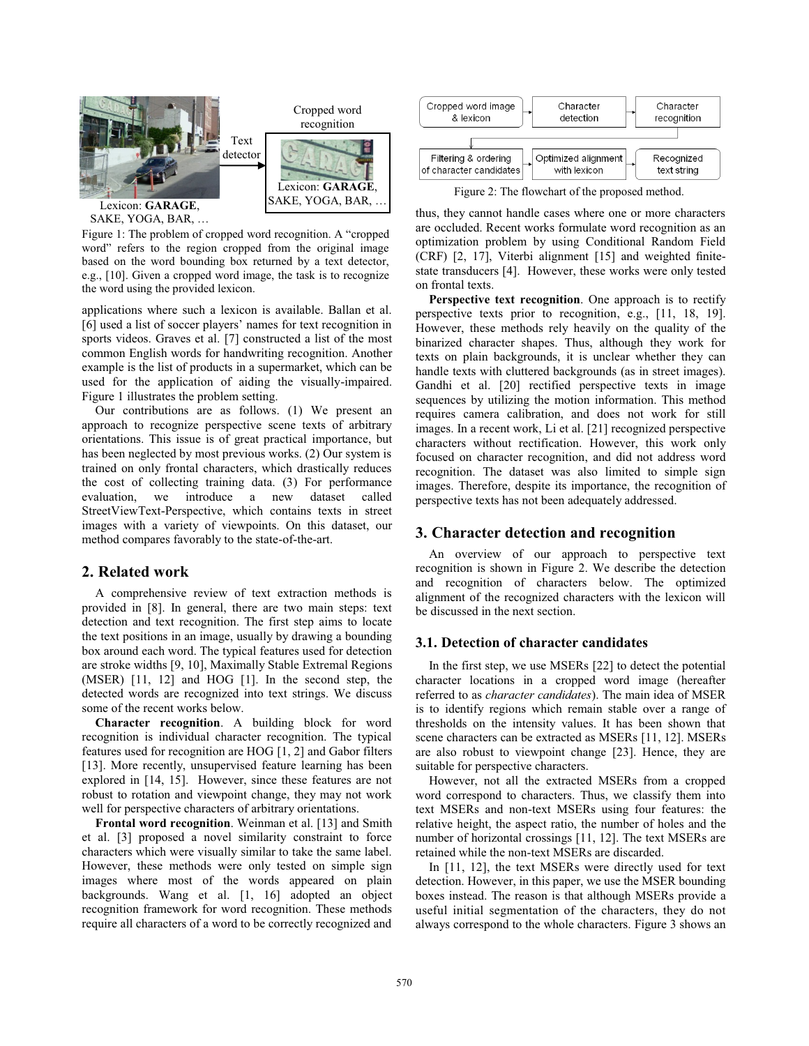

SAKE, YOGA, BAR, …

Figure 1: The problem of cropped word recognition. A "cropped word" refers to the region cropped from the original image based on the word bounding box returned by a text detector, e.g., [10]. Given a cropped word image, the task is to recognize the word using the provided lexicon.

applications where such a lexicon is available. Ballan et al. [6] used a list of soccer players' names for text recognition in sports videos. Graves et al. [7] constructed a list of the most common English words for handwriting recognition. Another example is the list of products in a supermarket, which can be used for the application of aiding the visually-impaired. Figure 1 illustrates the problem setting.

Our contributions are as follows. (1) We present an approach to recognize perspective scene texts of arbitrary orientations. This issue is of great practical importance, but has been neglected by most previous works. (2) Our system is trained on only frontal characters, which drastically reduces the cost of collecting training data. (3) For performance evaluation, we introduce a new dataset called StreetViewText-Perspective, which contains texts in street images with a variety of viewpoints. On this dataset, our method compares favorably to the state-of-the-art.

## **2. Related work**

A comprehensive review of text extraction methods is provided in [8]. In general, there are two main steps: text detection and text recognition. The first step aims to locate the text positions in an image, usually by drawing a bounding box around each word. The typical features used for detection are stroke widths [9, 10], Maximally Stable Extremal Regions (MSER) [11, 12] and HOG [1]. In the second step, the detected words are recognized into text strings. We discuss some of the recent works below.

**Character recognition**. A building block for word recognition is individual character recognition. The typical features used for recognition are HOG [1, 2] and Gabor filters [13]. More recently, unsupervised feature learning has been explored in [14, 15]. However, since these features are not robust to rotation and viewpoint change, they may not work well for perspective characters of arbitrary orientations.

**Frontal word recognition**. Weinman et al. [13] and Smith et al. [3] proposed a novel similarity constraint to force characters which were visually similar to take the same label. However, these methods were only tested on simple sign images where most of the words appeared on plain backgrounds. Wang et al. [1, 16] adopted an object recognition framework for word recognition. These methods require all characters of a word to be correctly recognized and



Figure 2: The flowchart of the proposed method.

thus, they cannot handle cases where one or more characters are occluded. Recent works formulate word recognition as an optimization problem by using Conditional Random Field (CRF) [2, 17], Viterbi alignment [15] and weighted finitestate transducers [4]. However, these works were only tested on frontal texts.

**Perspective text recognition**. One approach is to rectify perspective texts prior to recognition, e.g., [11, 18, 19]. However, these methods rely heavily on the quality of the binarized character shapes. Thus, although they work for texts on plain backgrounds, it is unclear whether they can handle texts with cluttered backgrounds (as in street images). Gandhi et al. [20] rectified perspective texts in image sequences by utilizing the motion information. This method requires camera calibration, and does not work for still images. In a recent work, Li et al. [21] recognized perspective characters without rectification. However, this work only focused on character recognition, and did not address word recognition. The dataset was also limited to simple sign images. Therefore, despite its importance, the recognition of perspective texts has not been adequately addressed.

### **3. Character detection and recognition**

An overview of our approach to perspective text recognition is shown in Figure 2. We describe the detection and recognition of characters below. The optimized alignment of the recognized characters with the lexicon will be discussed in the next section.

## **3.1. Detection of character candidates**

In the first step, we use MSERs [22] to detect the potential character locations in a cropped word image (hereafter referred to as *character candidates*). The main idea of MSER is to identify regions which remain stable over a range of thresholds on the intensity values. It has been shown that scene characters can be extracted as MSERs [11, 12]. MSERs are also robust to viewpoint change [23]. Hence, they are suitable for perspective characters.

However, not all the extracted MSERs from a cropped word correspond to characters. Thus, we classify them into text MSERs and non-text MSERs using four features: the relative height, the aspect ratio, the number of holes and the number of horizontal crossings [11, 12]. The text MSERs are retained while the non-text MSERs are discarded.

In [11, 12], the text MSERs were directly used for text detection. However, in this paper, we use the MSER bounding boxes instead. The reason is that although MSERs provide a useful initial segmentation of the characters, they do not always correspond to the whole characters. Figure 3 shows an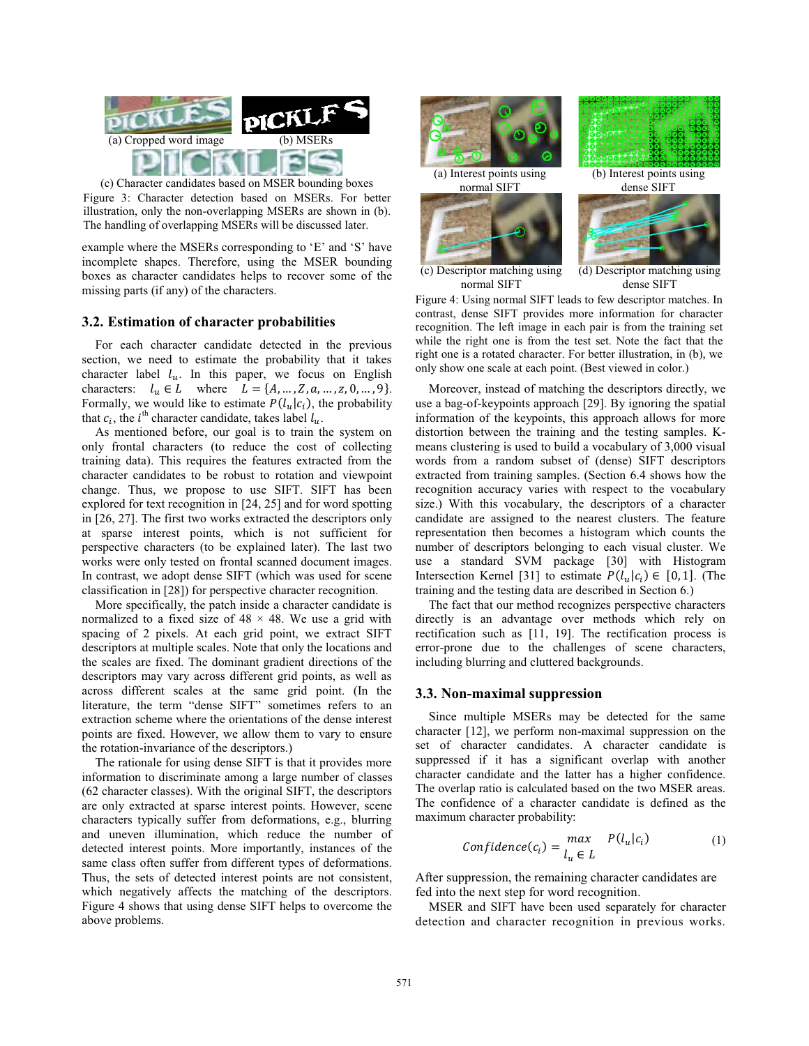

(c) Character candidates based on MSER bounding boxes Figure 3: Character detection based on MSERs. For better illustration, only the non-overlapping MSERs are shown in (b). The handling of overlapping MSERs will be discussed later.

example where the MSERs corresponding to 'E' and 'S' have incomplete shapes. Therefore, using the MSER bounding boxes as character candidates helps to recover some of the missing parts (if any) of the characters.

#### **3.2. Estimation of character probabilities**

For each character candidate detected in the previous section, we need to estimate the probability that it takes character label  $l_u$ . In this paper, we focus on English characters:  $l_u \in L$  where  $L = \{A, ..., Z, a, ..., z, 0, ..., 9\}.$ Formally, we would like to estimate  $P(l_u|c_i)$ , the probability that  $c_i$ , the *i*<sup>th</sup> character candidate, takes label  $l_u$ .

As mentioned before, our goal is to train the system on only frontal characters (to reduce the cost of collecting training data). This requires the features extracted from the character candidates to be robust to rotation and viewpoint change. Thus, we propose to use SIFT. SIFT has been explored for text recognition in [24, 25] and for word spotting in [26, 27]. The first two works extracted the descriptors only at sparse interest points, which is not sufficient for perspective characters (to be explained later). The last two works were only tested on frontal scanned document images. In contrast, we adopt dense SIFT (which was used for scene classification in [28]) for perspective character recognition.

More specifically, the patch inside a character candidate is normalized to a fixed size of  $48 \times 48$ . We use a grid with spacing of 2 pixels. At each grid point, we extract SIFT descriptors at multiple scales. Note that only the locations and the scales are fixed. The dominant gradient directions of the descriptors may vary across different grid points, as well as across different scales at the same grid point. (In the literature, the term "dense SIFT" sometimes refers to an extraction scheme where the orientations of the dense interest points are fixed. However, we allow them to vary to ensure the rotation-invariance of the descriptors.)

The rationale for using dense SIFT is that it provides more information to discriminate among a large number of classes (62 character classes). With the original SIFT, the descriptors are only extracted at sparse interest points. However, scene characters typically suffer from deformations, e.g., blurring and uneven illumination, which reduce the number of detected interest points. More importantly, instances of the same class often suffer from different types of deformations. Thus, the sets of detected interest points are not consistent, which negatively affects the matching of the descriptors. Figure 4 shows that using dense SIFT helps to overcome the above problems.



normal SIFT dense SIFT

Figure 4: Using normal SIFT leads to few descriptor matches. In contrast, dense SIFT provides more information for character recognition. The left image in each pair is from the training set while the right one is from the test set. Note the fact that the right one is a rotated character. For better illustration, in (b), we only show one scale at each point. (Best viewed in color.)

Moreover, instead of matching the descriptors directly, we use a bag-of-keypoints approach [29]. By ignoring the spatial information of the keypoints, this approach allows for more distortion between the training and the testing samples. Kmeans clustering is used to build a vocabulary of 3,000 visual words from a random subset of (dense) SIFT descriptors extracted from training samples. (Section 6.4 shows how the recognition accuracy varies with respect to the vocabulary size.) With this vocabulary, the descriptors of a character candidate are assigned to the nearest clusters. The feature representation then becomes a histogram which counts the number of descriptors belonging to each visual cluster. We use a standard SVM package [30] with Histogram Intersection Kernel [31] to estimate  $P(l_u|c_i) \in [0,1]$ . (The training and the testing data are described in Section 6.)

The fact that our method recognizes perspective characters directly is an advantage over methods which rely on rectification such as [11, 19]. The rectification process is error-prone due to the challenges of scene characters, including blurring and cluttered backgrounds.

### **3.3. Non-maximal suppression**

Since multiple MSERs may be detected for the same character [12], we perform non-maximal suppression on the set of character candidates. A character candidate is suppressed if it has a significant overlap with another character candidate and the latter has a higher confidence. The overlap ratio is calculated based on the two MSER areas. The confidence of a character candidate is defined as the maximum character probability:

$$
Confidence(c_i) = \frac{max}{l_u \in L} P(l_u|c_i)
$$
 (1)

After suppression, the remaining character candidates are fed into the next step for word recognition.

MSER and SIFT have been used separately for character detection and character recognition in previous works.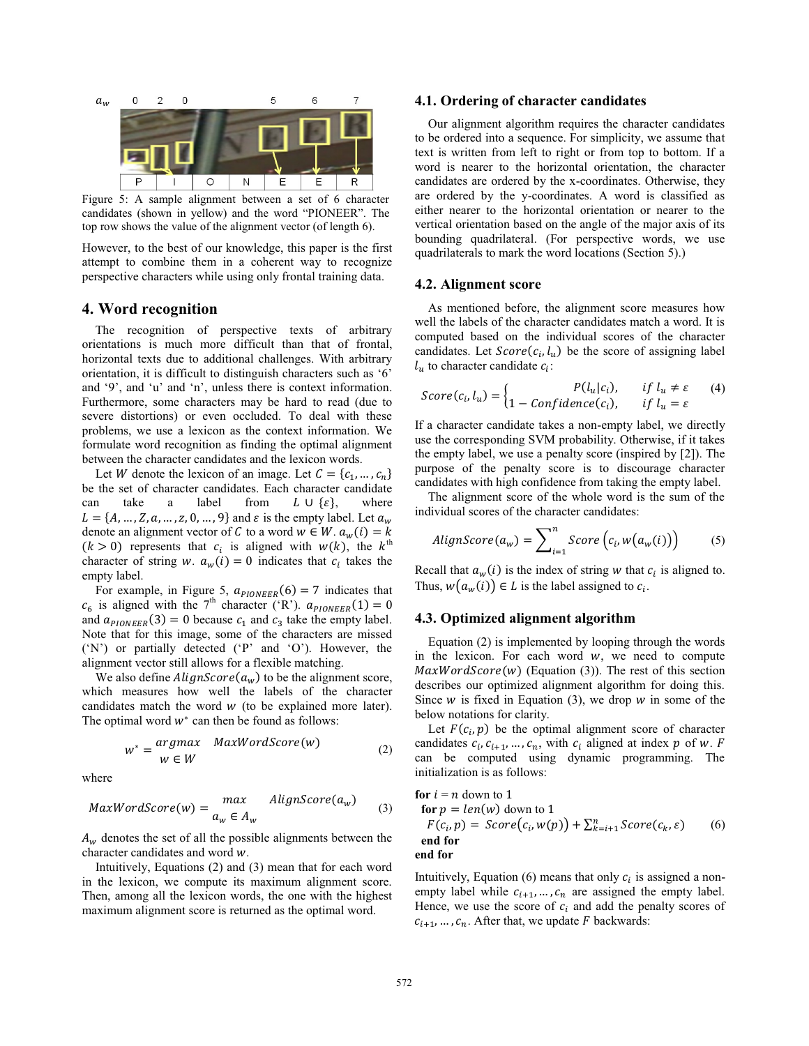

Figure 5: A sample alignment between a set of 6 character candidates (shown in yellow) and the word "PIONEER". The top row shows the value of the alignment vector (of length 6).

However, to the best of our knowledge, this paper is the first attempt to combine them in a coherent way to recognize perspective characters while using only frontal training data.

#### **4. Word recognition**

The recognition of perspective texts of arbitrary orientations is much more difficult than that of frontal, horizontal texts due to additional challenges. With arbitrary orientation, it is difficult to distinguish characters such as '6' and '9', and 'u' and 'n', unless there is context information. Furthermore, some characters may be hard to read (due to severe distortions) or even occluded. To deal with these problems, we use a lexicon as the context information. We formulate word recognition as finding the optimal alignment between the character candidates and the lexicon words.

Let *W* denote the lexicon of an image. Let  $C = \{c_1, ..., c_n\}$ be the set of character candidates. Each character candidate can take a label from  $L \cup \{\varepsilon\}$ , where  $L = \{A, ..., Z, a, ..., z, 0, ..., 9\}$  and  $\varepsilon$  is the empty label. Let  $a_w$ denote an alignment vector of C to a word  $w \in W$ .  $a_w(i) = k$  $(k > 0)$  represents that  $c_i$  is aligned with  $w(k)$ , the  $k^{\text{th}}$ character of string w.  $a_w(i) = 0$  indicates that  $c_i$  takes the empty label.

For example, in Figure 5,  $a_{\text{PIONEER}}(6) = 7$  indicates that  $c_6$  is aligned with the 7<sup>th</sup> character ('R').  $a_{\text{PIONEER}}(1) = 0$ and  $a_{\text{plOMFER}}(3) = 0$  because  $c_1$  and  $c_3$  take the empty label. Note that for this image, some of the characters are missed ('N') or partially detected ('P' and 'O'). However, the alignment vector still allows for a flexible matching.

We also define  $\text{AlignScore}(a_w)$  to be the alignment score, which measures how well the labels of the character candidates match the word  $w$  (to be explained more later). The optimal word  $w^*$  can then be found as follows:

$$
w^* = \begin{cases} argmax & \text{MaxWordScore}(w) \\ w \in W \end{cases} \tag{2}
$$

where

$$
MaxWordScore(w) = \begin{cases} max & \text{AlignScore}(a_w) \\ a_w \in A_w \end{cases} (3)
$$

 $A_w$  denotes the set of all the possible alignments between the character candidates and word w.

Intuitively, Equations (2) and (3) mean that for each word in the lexicon, we compute its maximum alignment score. Then, among all the lexicon words, the one with the highest maximum alignment score is returned as the optimal word.

## **4.1. Ordering of character candidates**

Our alignment algorithm requires the character candidates to be ordered into a sequence. For simplicity, we assume that text is written from left to right or from top to bottom. If a word is nearer to the horizontal orientation, the character candidates are ordered by the x-coordinates. Otherwise, they are ordered by the y-coordinates. A word is classified as either nearer to the horizontal orientation or nearer to the vertical orientation based on the angle of the major axis of its bounding quadrilateral. (For perspective words, we use quadrilaterals to mark the word locations (Section 5).)

#### **4.2. Alignment score**

As mentioned before, the alignment score measures how well the labels of the character candidates match a word. It is computed based on the individual scores of the character candidates. Let  $Score(c_i, l_u)$  be the score of assigning label  $l_u$  to character candidate  $c_i$ :

$$
Score(c_i, l_u) = \begin{cases} P(l_u|c_i), & if l_u \neq \varepsilon \\ 1 - Confidence(c_i), & if l_u = \varepsilon \end{cases}
$$
(4)

If a character candidate takes a non-empty label, we directly use the corresponding SVM probability. Otherwise, if it takes the empty label, we use a penalty score (inspired by [2]). The purpose of the penalty score is to discourage character candidates with high confidence from taking the empty label.

The alignment score of the whole word is the sum of the individual scores of the character candidates:

$$
AlignScore(a_w) = \sum_{i=1}^{n} Score\left(c_i, w(a_w(i))\right) \tag{5}
$$

Recall that  $a_w(i)$  is the index of string w that  $c_i$  is aligned to. Thus,  $w(a_w(i)) \in L$  is the label assigned to  $c_i$ .

### **4.3. Optimized alignment algorithm**

Equation (2) is implemented by looping through the words in the lexicon. For each word  $w$ , we need to compute  $MaxWordScore(w)$  (Equation (3)). The rest of this section describes our optimized alignment algorithm for doing this. Since  $w$  is fixed in Equation (3), we drop  $w$  in some of the below notations for clarity.

Let  $F(c_i, p)$  be the optimal alignment score of character candidates  $c_i, c_{i+1}, \ldots, c_n$ , with  $c_i$  aligned at index p of w. F can be computed using dynamic programming. The initialization is as follows:

**for** 
$$
i = n
$$
 down to 1  
\n**for**  $p = len(w)$  down to 1  
\n $F(c_i, p) = Score(c_i, w(p)) + \sum_{k=i+1}^{n} Score(c_k, \varepsilon)$  (6)  
\n**end for**

Intuitively, Equation (6) means that only  $c_i$  is assigned a nonempty label while  $c_{i+1}, \ldots, c_n$  are assigned the empty label. Hence, we use the score of  $c_i$  and add the penalty scores of  $c_{i+1}, \ldots, c_n$ . After that, we update F backwards: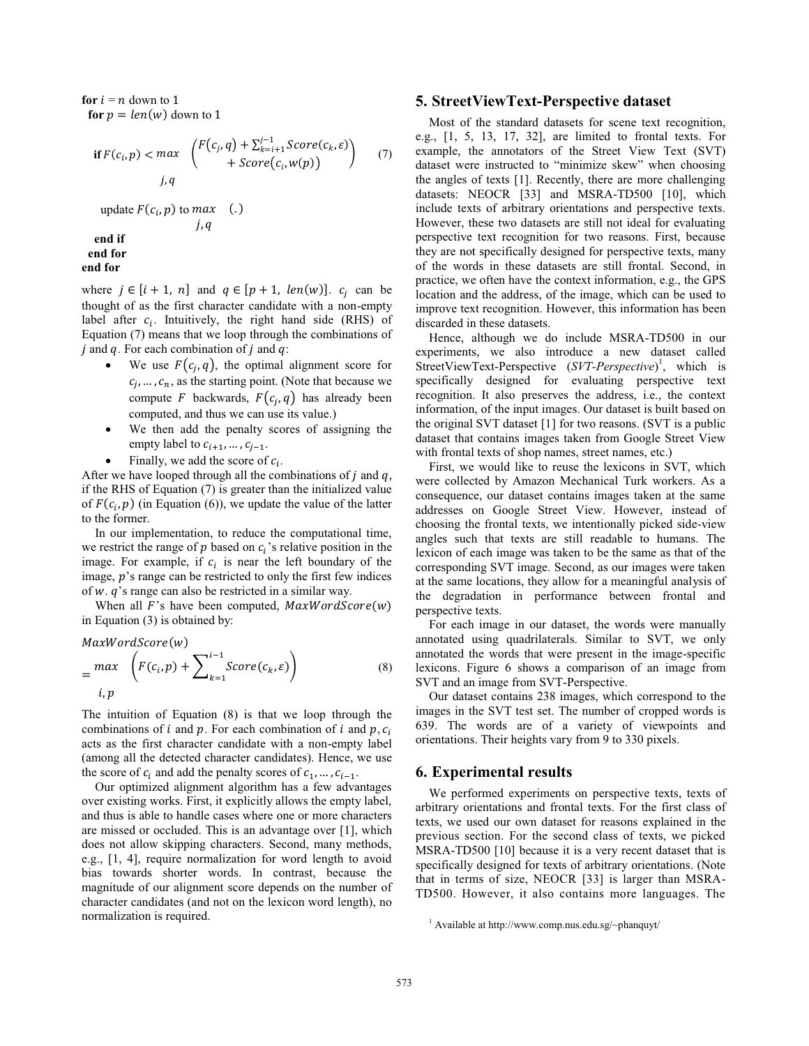**for**  $i = n$  down to 1 **for**  $p = len(w)$  down to 1

$$
\text{if } F(c_i, p) < \max \left( \frac{F(c_j, q) + \sum_{k=i+1}^{j-1} Score(c_k, \varepsilon)}{+ Score(c_i, w(p))} \right) \tag{7}
$$
\n
$$
j, q
$$
\n
$$
\text{update } F(c_i, p) \text{ to } \max \quad (.)
$$
\n
$$
j, q
$$

 **end if end for end for**

where  $j \in [i + 1, n]$  and  $q \in [p + 1, len(w)]$ .  $c_j$  can be thought of as the first character candidate with a non-empty label after  $c_i$ . Intuitively, the right hand side (RHS) of Equation (7) means that we loop through the combinations of  $i$  and  $q$ . For each combination of  $j$  and  $q$ :

- We use  $F(c_i, q)$ , the optimal alignment score for  $c_i, \ldots, c_n$ , as the starting point. (Note that because we compute F backwards,  $F(c_i, q)$  has already been computed, and thus we can use its value.)
- We then add the penalty scores of assigning the empty label to  $c_{i+1}, \ldots, c_{j-1}$ .
- Finally, we add the score of  $c_i$ .

After we have looped through all the combinations of  $j$  and  $q$ , if the RHS of Equation (7) is greater than the initialized value of  $F(c_i, p)$  (in Equation (6)), we update the value of the latter to the former.

In our implementation, to reduce the computational time, we restrict the range of p based on  $c_i$ 's relative position in the image. For example, if  $c_i$  is near the left boundary of the image,  $p$ 's range can be restricted to only the first few indices of  $w$ .  $q$ 's range can also be restricted in a similar way.

When all  $F$ 's have been computed,  $MaxWordScore(w)$ in Equation (3) is obtained by:

$$
MaxWordScore(w)
$$
  
= 
$$
\begin{aligned} max \quad & \left(F(c_i, p) + \sum_{k=1}^{i-1} Score(c_k, \varepsilon)\right) \\ & i, p \end{aligned} \tag{8}
$$

The intuition of Equation (8) is that we loop through the combinations of i and p. For each combination of i and p.  $c_i$ acts as the first character candidate with a non-empty label (among all the detected character candidates). Hence, we use the score of  $c_i$  and add the penalty scores of  $c_1, \ldots, c_{i-1}$ .

Our optimized alignment algorithm has a few advantages over existing works. First, it explicitly allows the empty label, and thus is able to handle cases where one or more characters are missed or occluded. This is an advantage over [1], which does not allow skipping characters. Second, many methods, e.g., [1, 4], require normalization for word length to avoid bias towards shorter words. In contrast, because the magnitude of our alignment score depends on the number of character candidates (and not on the lexicon word length), no normalization is required.

## **5. StreetViewText-Perspective dataset**

Most of the standard datasets for scene text recognition, e.g., [1, 5, 13, 17, 32], are limited to frontal texts. For example, the annotators of the Street View Text (SVT) dataset were instructed to "minimize skew" when choosing the angles of texts [1]. Recently, there are more challenging datasets: NEOCR [33] and MSRA-TD500 [10], which include texts of arbitrary orientations and perspective texts. However, these two datasets are still not ideal for evaluating perspective text recognition for two reasons. First, because they are not specifically designed for perspective texts, many of the words in these datasets are still frontal. Second, in practice, we often have the context information, e.g., the GPS location and the address, of the image, which can be used to improve text recognition. However, this information has been discarded in these datasets.

Hence, although we do include MSRA-TD500 in our experiments, we also introduce a new dataset called StreetViewText-Perspective  $(SVT\text{-}Perspective)^1$ , which is specifically designed for evaluating perspective text recognition. It also preserves the address, i.e., the context information, of the input images. Our dataset is built based on the original SVT dataset [1] for two reasons. (SVT is a public dataset that contains images taken from Google Street View with frontal texts of shop names, street names, etc.)

First, we would like to reuse the lexicons in SVT, which were collected by Amazon Mechanical Turk workers. As a consequence, our dataset contains images taken at the same addresses on Google Street View. However, instead of choosing the frontal texts, we intentionally picked side-view angles such that texts are still readable to humans. The lexicon of each image was taken to be the same as that of the corresponding SVT image. Second, as our images were taken at the same locations, they allow for a meaningful analysis of the degradation in performance between frontal and perspective texts.

For each image in our dataset, the words were manually annotated using quadrilaterals. Similar to SVT, we only annotated the words that were present in the image-specific lexicons. Figure 6 shows a comparison of an image from SVT and an image from SVT-Perspective.

Our dataset contains 238 images, which correspond to the images in the SVT test set. The number of cropped words is 639. The words are of a variety of viewpoints and orientations. Their heights vary from 9 to 330 pixels.

#### **6. Experimental results**

We performed experiments on perspective texts, texts of arbitrary orientations and frontal texts. For the first class of texts, we used our own dataset for reasons explained in the previous section. For the second class of texts, we picked MSRA-TD500 [10] because it is a very recent dataset that is specifically designed for texts of arbitrary orientations. (Note that in terms of size, NEOCR [33] is larger than MSRA-TD500. However, it also contains more languages. The

<sup>1</sup> Available at http://www.comp.nus.edu.sg/~phanquyt/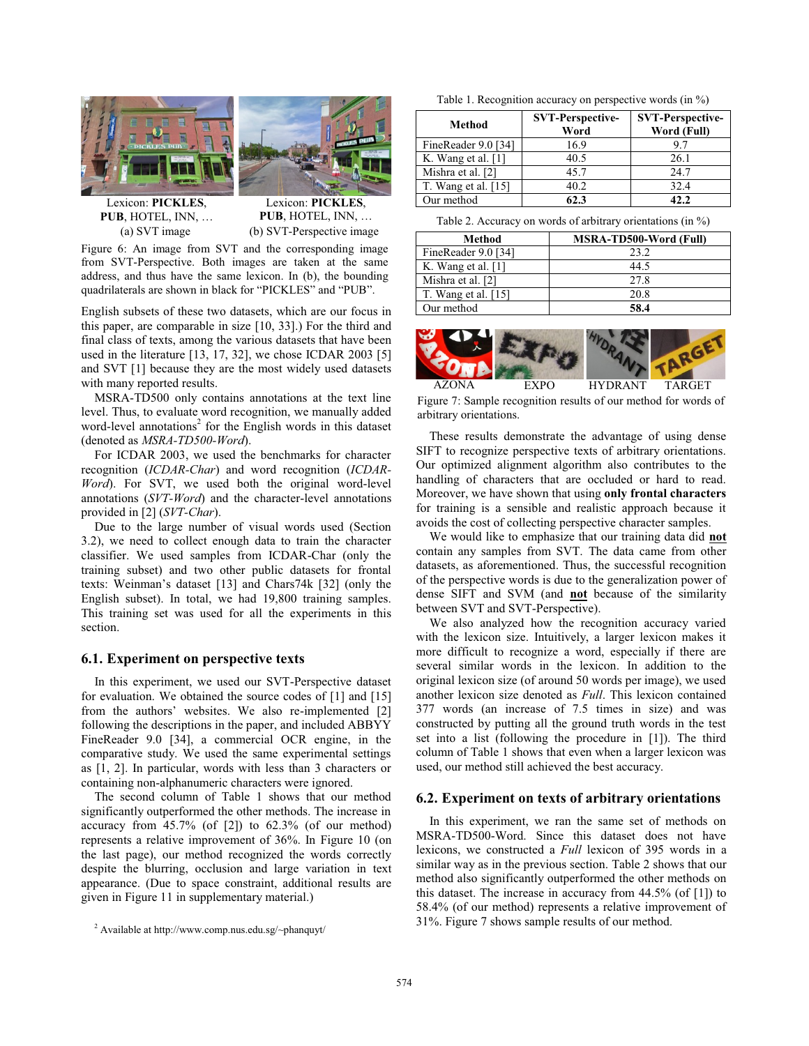



Lexicon: **PICKLES**, **PUB**, HOTEL, INN, …

Lexicon: **PICKLES**, **PUB**, HOTEL, INN, … (a) SVT image (b) SVT-Perspective image

Figure 6: An image from SVT and the corresponding image from SVT-Perspective. Both images are taken at the same address, and thus have the same lexicon. In (b), the bounding quadrilaterals are shown in black for "PICKLES" and "PUB".

English subsets of these two datasets, which are our focus in this paper, are comparable in size [10, 33].) For the third and final class of texts, among the various datasets that have been used in the literature [13, 17, 32], we chose ICDAR 2003 [5] and SVT [1] because they are the most widely used datasets with many reported results.

MSRA-TD500 only contains annotations at the text line level. Thus, to evaluate word recognition, we manually added word-level annotations<sup>2</sup> for the English words in this dataset (denoted as *MSRA-TD500-Word*).

For ICDAR 2003, we used the benchmarks for character recognition (*ICDAR-Char*) and word recognition (*ICDAR-Word*). For SVT, we used both the original word-level annotations (*SVT-Word*) and the character-level annotations provided in [2] (*SVT-Char*).

Due to the large number of visual words used (Section 3.2), we need to collect enough data to train the character classifier. We used samples from ICDAR-Char (only the training subset) and two other public datasets for frontal texts: Weinman's dataset [13] and Chars74k [32] (only the English subset). In total, we had 19,800 training samples. This training set was used for all the experiments in this section.

### **6.1. Experiment on perspective texts**

In this experiment, we used our SVT-Perspective dataset for evaluation. We obtained the source codes of [1] and [15] from the authors' websites. We also re-implemented [2] following the descriptions in the paper, and included ABBYY FineReader 9.0 [34], a commercial OCR engine, in the comparative study. We used the same experimental settings as [1, 2]. In particular, words with less than 3 characters or containing non-alphanumeric characters were ignored.

The second column of Table 1 shows that our method significantly outperformed the other methods. The increase in accuracy from  $45.7\%$  (of [2]) to  $62.3\%$  (of our method) represents a relative improvement of 36%. In Figure 10 (on the last page), our method recognized the words correctly despite the blurring, occlusion and large variation in text appearance. (Due to space constraint, additional results are given in Figure 11 in supplementary material.)

Table 1. Recognition accuracy on perspective words (in %)

| Method               | <b>SVT-Perspective-</b><br>Word | <b>SVT-Perspective-</b><br>Word (Full) |  |  |
|----------------------|---------------------------------|----------------------------------------|--|--|
| FineReader 9.0 [34]  | 16.9                            | 9.7                                    |  |  |
| K. Wang et al. $[1]$ | 40.5                            | 26.1                                   |  |  |
| Mishra et al. [2]    | 45.7                            | 24.7                                   |  |  |
| T. Wang et al. [15]  | 40.2                            | 32.4                                   |  |  |
| Our method           | 62.3                            | 42.2.                                  |  |  |

Table 2. Accuracy on words of arbitrary orientations (in %)

| Method                | MSRA-TD500-Word (Full) |
|-----------------------|------------------------|
| FineReader 9.0 [34]   | 23.2                   |
| K. Wang et al. $[1]$  | 44.5                   |
| Mishra et al. [2]     | 27.8                   |
| T. Wang et al. $[15]$ | 20.8                   |
| Our method            | 58.4                   |



Figure 7: Sample recognition results of our method for words of arbitrary orientations.

These results demonstrate the advantage of using dense SIFT to recognize perspective texts of arbitrary orientations. Our optimized alignment algorithm also contributes to the handling of characters that are occluded or hard to read. Moreover, we have shown that using **only frontal characters** for training is a sensible and realistic approach because it avoids the cost of collecting perspective character samples.

We would like to emphasize that our training data did **not** contain any samples from SVT. The data came from other datasets, as aforementioned. Thus, the successful recognition of the perspective words is due to the generalization power of dense SIFT and SVM (and **not** because of the similarity between SVT and SVT-Perspective).

We also analyzed how the recognition accuracy varied with the lexicon size. Intuitively, a larger lexicon makes it more difficult to recognize a word, especially if there are several similar words in the lexicon. In addition to the original lexicon size (of around 50 words per image), we used another lexicon size denoted as *Full*. This lexicon contained 377 words (an increase of 7.5 times in size) and was constructed by putting all the ground truth words in the test set into a list (following the procedure in [1]). The third column of Table 1 shows that even when a larger lexicon was used, our method still achieved the best accuracy.

#### **6.2. Experiment on texts of arbitrary orientations**

In this experiment, we ran the same set of methods on MSRA-TD500-Word. Since this dataset does not have lexicons, we constructed a *Full* lexicon of 395 words in a similar way as in the previous section. Table 2 shows that our method also significantly outperformed the other methods on this dataset. The increase in accuracy from 44.5% (of [1]) to 58.4% (of our method) represents a relative improvement of 31%. Figure 7 shows sample results of our method.

<sup>2</sup> Available at http://www.comp.nus.edu.sg/~phanquyt/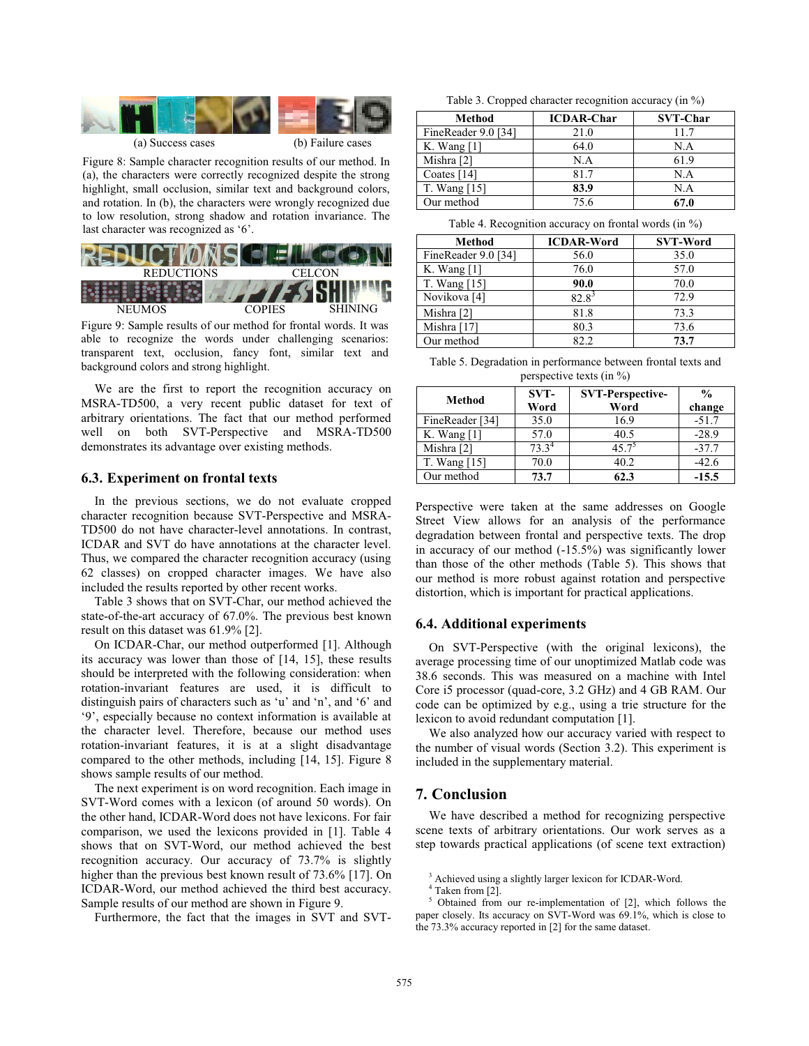

(a) Success cases (b) Failure cases

Figure 8: Sample character recognition results of our method. In (a), the characters were correctly recognized despite the strong highlight, small occlusion, similar text and background colors, and rotation. In (b), the characters were wrongly recognized due to low resolution, strong shadow and rotation invariance. The last character was recognized as '6'.



Figure 9: Sample results of our method for frontal words. It was able to recognize the words under challenging scenarios: transparent text, occlusion, fancy font, similar text and background colors and strong highlight.

We are the first to report the recognition accuracy on MSRA-TD500, a very recent public dataset for text of arbitrary orientations. The fact that our method performed well on both SVT-Perspective and MSRA-TD500 demonstrates its advantage over existing methods.

### **6.3. Experiment on frontal texts**

In the previous sections, we do not evaluate cropped character recognition because SVT-Perspective and MSRA-TD500 do not have character-level annotations. In contrast, ICDAR and SVT do have annotations at the character level. Thus, we compared the character recognition accuracy (using 62 classes) on cropped character images. We have also included the results reported by other recent works.

Table 3 shows that on SVT-Char, our method achieved the state-of-the-art accuracy of 67.0%. The previous best known result on this dataset was 61.9% [2].

On ICDAR-Char, our method outperformed [1]. Although its accuracy was lower than those of [14, 15], these results should be interpreted with the following consideration: when rotation-invariant features are used, it is difficult to distinguish pairs of characters such as 'u' and 'n', and '6' and '9', especially because no context information is available at the character level. Therefore, because our method uses rotation-invariant features, it is at a slight disadvantage compared to the other methods, including [14, 15]. Figure 8 shows sample results of our method.

The next experiment is on word recognition. Each image in SVT-Word comes with a lexicon (of around 50 words). On the other hand, ICDAR-Word does not have lexicons. For fair comparison, we used the lexicons provided in [1]. Table 4 shows that on SVT-Word, our method achieved the best recognition accuracy. Our accuracy of 73.7% is slightly higher than the previous best known result of 73.6% [17]. On ICDAR-Word, our method achieved the third best accuracy. Sample results of our method are shown in Figure 9.

Furthermore, the fact that the images in SVT and SVT-

Table 3. Cropped character recognition accuracy (in %)

| Method              | <b>ICDAR-Char</b> | <b>SVT-Char</b> |
|---------------------|-------------------|-----------------|
| FineReader 9.0 [34] | 21.0              | 11.7            |
| K. Wang $[1]$       | 64.0              | N.A             |
| Mishra [2]          | N.A               | 61.9            |
| Coates $[14]$       | 81.7              | N.A             |
| T. Wang [15]        | 83.9              | N.A             |
| Our method          | 75.6              | 67.0            |

Table 4. Recognition accuracy on frontal words (in %)

| Method                  | <b>ICDAR-Word</b> | <b>SVT-Word</b> |
|-------------------------|-------------------|-----------------|
| FineReader 9.0 [34]     | 56.0              | 35.0            |
| K. Wang $[1]$           | 76.0              | 57.0            |
| T. Wang [15]            | 90.0              | 70.0            |
| Novikova <sup>[4]</sup> | $82.8^3$          | 72.9            |
| Mishra [2]              | 81.8              | 73.3            |
| Mishra [17]             | 80.3              | 73.6            |
| Our method              | 82.2              | 73.7            |
|                         |                   |                 |

Table 5. Degradation in performance between frontal texts and perspective texts (in %)

| Method          | SVT-<br>Word | <b>SVT-Perspective-</b><br>Word | $\frac{0}{0}$<br>change |
|-----------------|--------------|---------------------------------|-------------------------|
| FineReader [34] | 35.0         | 16.9                            | $-51.7$                 |
| K. Wang [1]     | 57.0         | 40.5                            | $-28.9$                 |
| Mishra [2]      | $73.3^4$     | $45.7^{\circ}$                  | $-37.7$                 |
| T. Wang [15]    | 70.0         | 40.2                            | $-42.6$                 |
| Our method      | 73.7         | 62.3                            | $-15.5$                 |

Perspective were taken at the same addresses on Google Street View allows for an analysis of the performance degradation between frontal and perspective texts. The drop in accuracy of our method (-15.5%) was significantly lower than those of the other methods (Table 5). This shows that our method is more robust against rotation and perspective distortion, which is important for practical applications.

## **6.4. Additional experiments**

On SVT-Perspective (with the original lexicons), the average processing time of our unoptimized Matlab code was 38.6 seconds. This was measured on a machine with Intel Core i5 processor (quad-core, 3.2 GHz) and 4 GB RAM. Our code can be optimized by e.g., using a trie structure for the lexicon to avoid redundant computation [1].

We also analyzed how our accuracy varied with respect to the number of visual words (Section 3.2). This experiment is included in the supplementary material.

## **7. Conclusion**

We have described a method for recognizing perspective scene texts of arbitrary orientations. Our work serves as a step towards practical applications (of scene text extraction)

3 Achieved using a slightly larger lexicon for ICDAR-Word.

 Obtained from our re-implementation of [2], which follows the paper closely. Its accuracy on SVT-Word was 69.1%, which is close to the 73.3% accuracy reported in [2] for the same dataset.

 $^{4}$  Taken from [2].